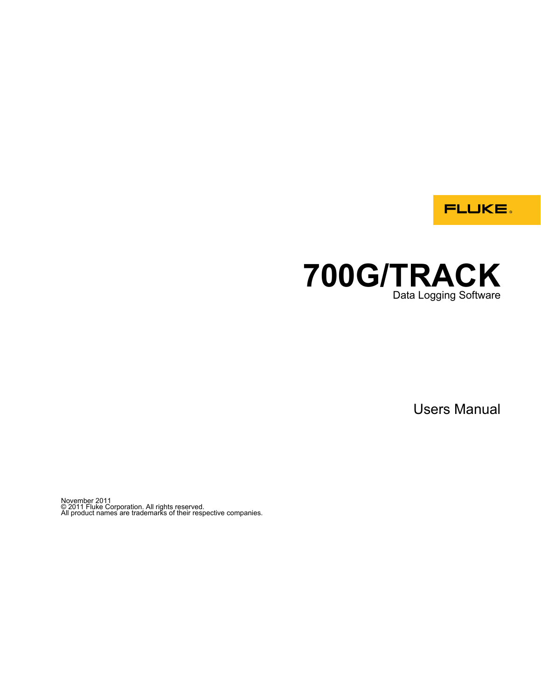

# **700G/TRACK**  Data Logging Software

Users Manual

November 2011 © 2011 Fluke Corporation. All rights reserved. All product names are trademarks of their respective companies.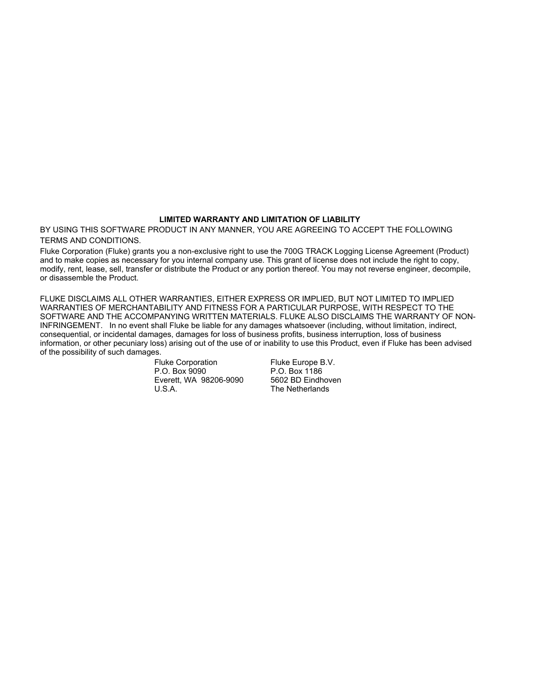#### **LIMITED WARRANTY AND LIMITATION OF LIABILITY**

BY USING THIS SOFTWARE PRODUCT IN ANY MANNER, YOU ARE AGREEING TO ACCEPT THE FOLLOWING TERMS AND CONDITIONS.

Fluke Corporation (Fluke) grants you a non-exclusive right to use the 700G TRACK Logging License Agreement (Product) and to make copies as necessary for you internal company use. This grant of license does not include the right to copy, modify, rent, lease, sell, transfer or distribute the Product or any portion thereof. You may not reverse engineer, decompile, or disassemble the Product.

FLUKE DISCLAIMS ALL OTHER WARRANTIES, EITHER EXPRESS OR IMPLIED, BUT NOT LIMITED TO IMPLIED WARRANTIES OF MERCHANTABILITY AND FITNESS FOR A PARTICULAR PURPOSE, WITH RESPECT TO THE SOFTWARE AND THE ACCOMPANYING WRITTEN MATERIALS. FLUKE ALSO DISCLAIMS THE WARRANTY OF NON-INFRINGEMENT. In no event shall Fluke be liable for any damages whatsoever (including, without limitation, indirect, consequential, or incidental damages, damages for loss of business profits, business interruption, loss of business information, or other pecuniary loss) arising out of the use of or inability to use this Product, even if Fluke has been advised of the possibility of such damages.

> Fluke Corporation P.O. Box 9090 Everett, WA 98206-9090 U.S.A.

Fluke Europe B.V. P.O. Box 1186 5602 BD Eindhoven The Netherlands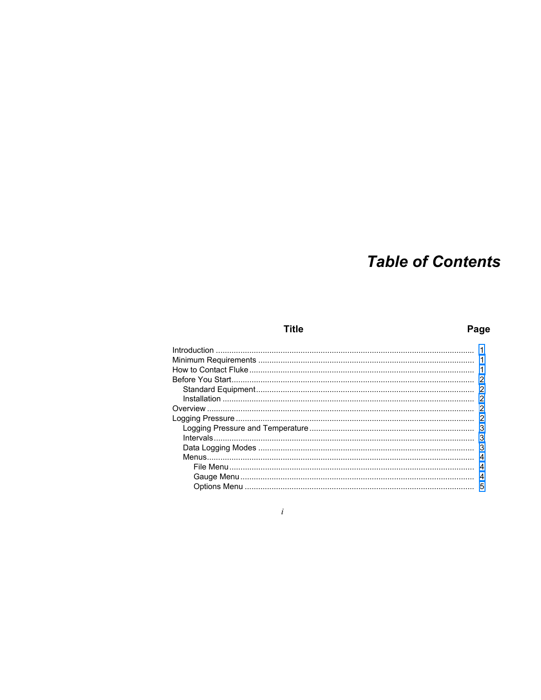# **Table of Contents**

# **Title**

# Page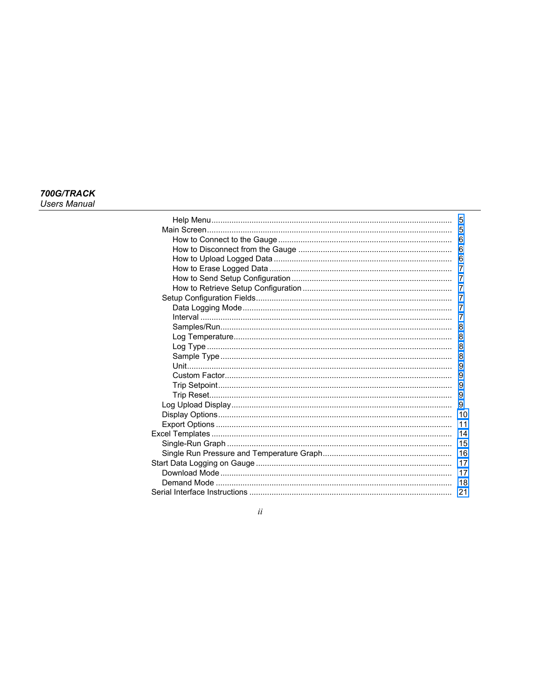| 700G/TRACK   |
|--------------|
| Users Manual |

| 5   |
|-----|
| 5   |
| 6   |
| 6   |
|     |
|     |
|     |
| 7   |
|     |
| 7   |
|     |
|     |
| 8   |
| 8   |
| 8   |
| 9   |
|     |
| 9   |
|     |
| 9   |
| 10  |
| 11  |
|     |
|     |
| 16  |
| -17 |
| 17  |
| 18  |
| 21  |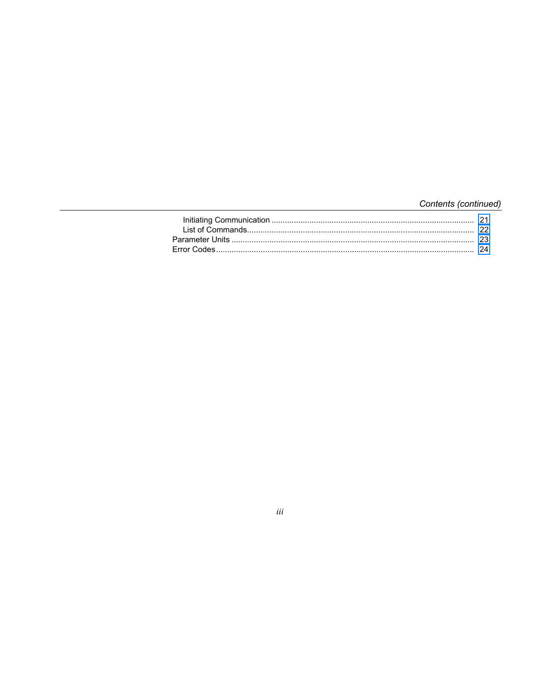## Contents (continued)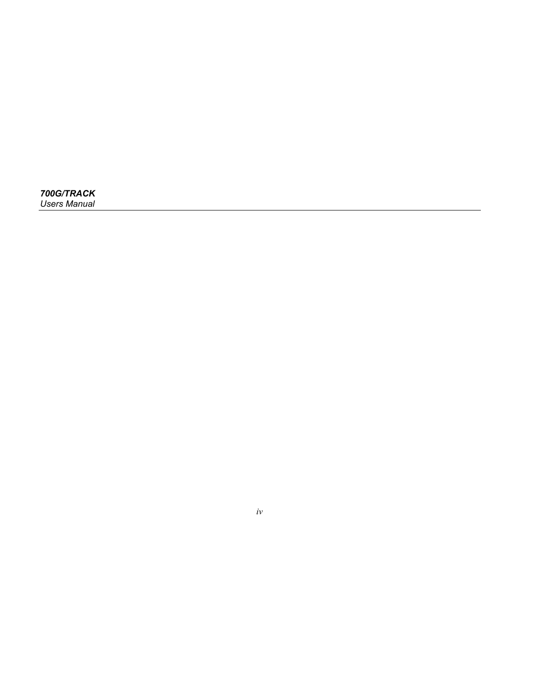| <i>700G/TRACK</i> |
|-------------------|
| Users Manual      |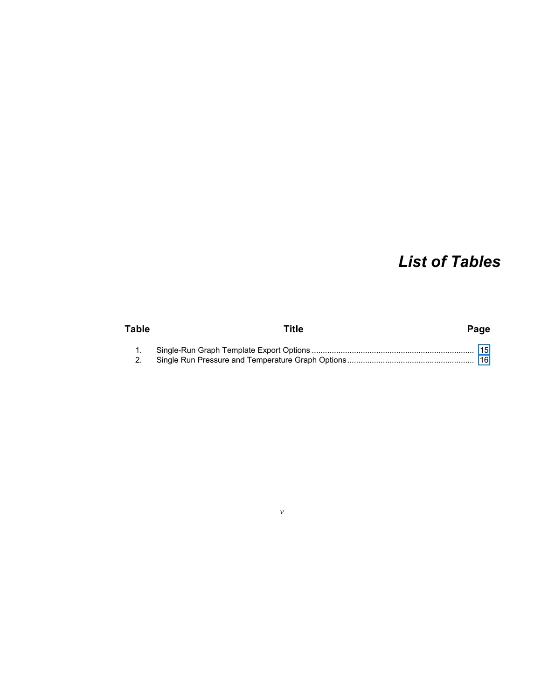# *List of Tables*

| <b>Table</b> | Title | Page |
|--------------|-------|------|
|              |       |      |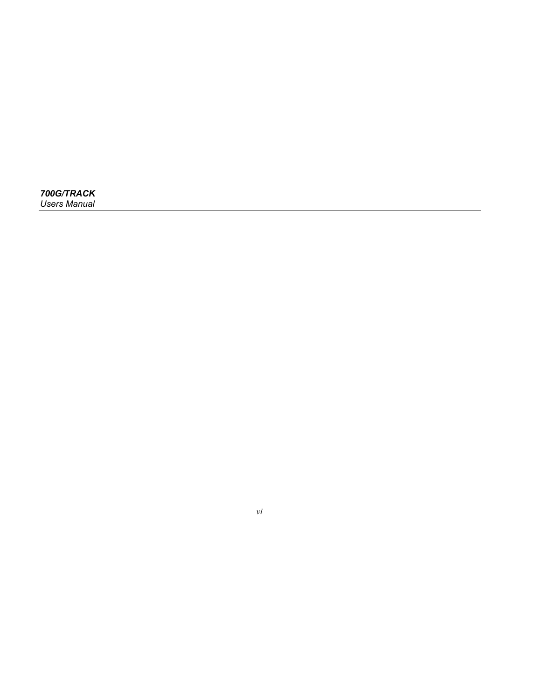| <i>700G/TRACK</i> |
|-------------------|
| Users Manual      |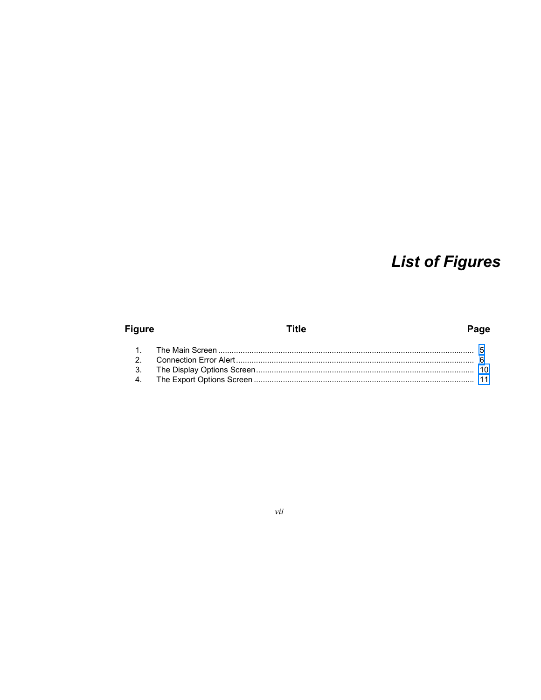# **List of Figures**

# **Figure**

## **Title**

# Page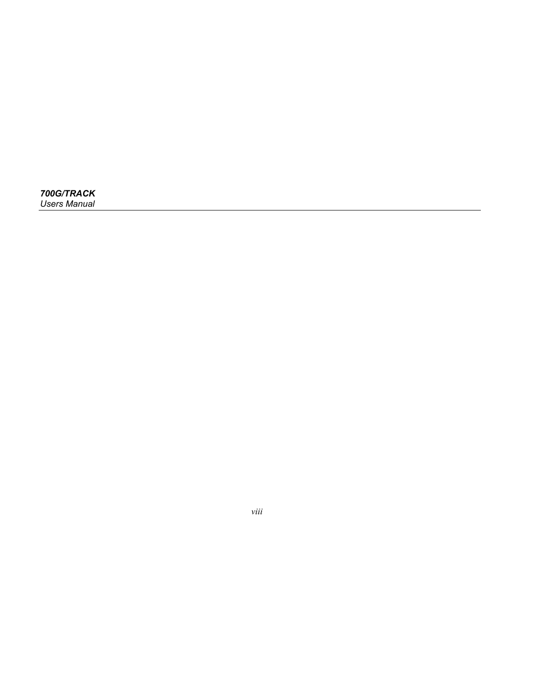| <i><b>700G/TRACK</b></i> |  |
|--------------------------|--|
| Users Manual             |  |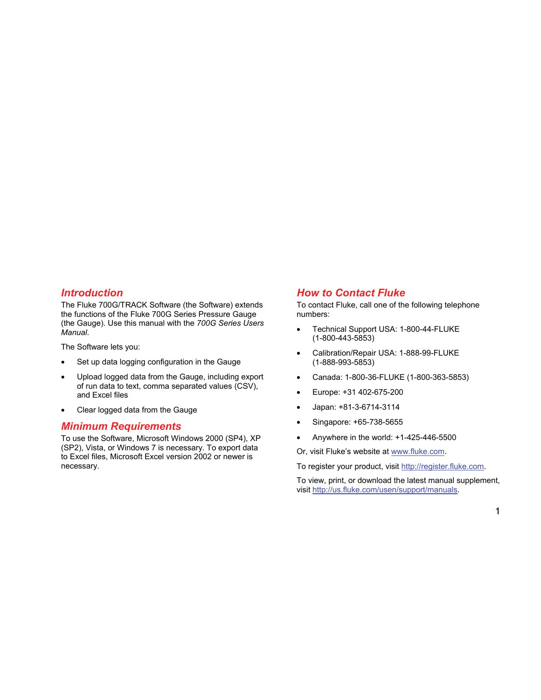## <span id="page-10-0"></span>*Introduction*

The Fluke 700G/TRACK Software (the Software) extends the functions of the Fluke 700G Series Pressure Gauge (the Gauge). Use this manual with the *700G Series Users Manual*.

The Software lets you:

- Set up data logging configuration in the Gauge
- Upload logged data from the Gauge, including export of run data to text, comma separated values (CSV), and Excel files
- Clear logged data from the Gauge

## *Minimum Requirements*

To use the Software, Microsoft Windows 2000 (SP4), XP (SP2), Vista, or Windows 7 is necessary. To export data to Excel files, Microsoft Excel version 2002 or newer is necessary.

## *How to Contact Fluke*

To contact Fluke, call one of the following telephone numbers:

- Technical Support USA: 1-800-44-FLUKE (1-800-443-5853)
- Calibration/Repair USA: 1-888-99-FLUKE (1-888-993-5853)
- Canada: 1-800-36-FLUKE (1-800-363-5853)
- Europe: +31 402-675-200
- Japan: +81-3-6714-3114
- Singapore: +65-738-5655
- Anywhere in the world: +1-425-446-5500

Or, visit Fluke's website at www.fluke.com.

To register your product, visit http://register.fluke.com.

To view, print, or download the latest manual supplement, visit http://us.fluke.com/usen/support/manuals.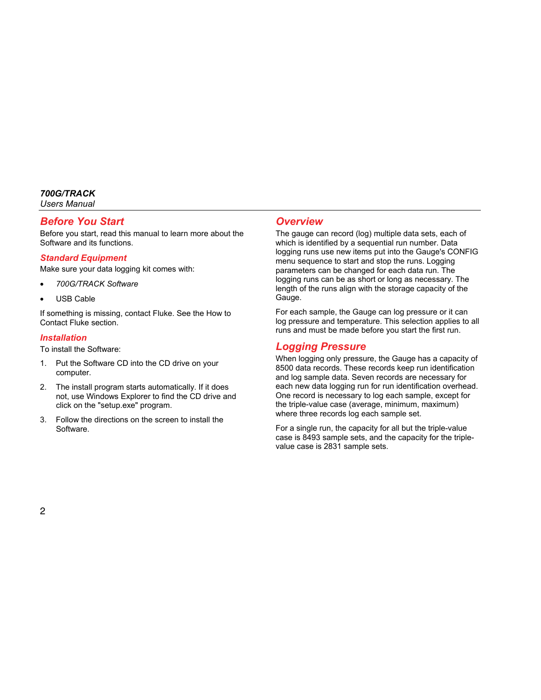# <span id="page-11-0"></span>*Before You Start*

Before you start, read this manual to learn more about the Software and its functions.

## *Standard Equipment*

Make sure your data logging kit comes with:

- *700G/TRACK Software*
- USB Cable

If something is missing, contact Fluke. See the How to Contact Fluke section.

#### *Installation*

To install the Software:

- 1. Put the Software CD into the CD drive on your computer.
- 2. The install program starts automatically. If it does not, use Windows Explorer to find the CD drive and click on the "setup.exe" program.
- 3. Follow the directions on the screen to install the Software.

# *Overview*

The gauge can record (log) multiple data sets, each of which is identified by a sequential run number. Data logging runs use new items put into the Gauge's CONFIG menu sequence to start and stop the runs. Logging parameters can be changed for each data run. The logging runs can be as short or long as necessary. The length of the runs align with the storage capacity of the Gauge.

For each sample, the Gauge can log pressure or it can log pressure and temperature. This selection applies to all runs and must be made before you start the first run.

# *Logging Pressure*

When logging only pressure, the Gauge has a capacity of 8500 data records. These records keep run identification and log sample data. Seven records are necessary for each new data logging run for run identification overhead. One record is necessary to log each sample, except for the triple-value case (average, minimum, maximum) where three records log each sample set.

For a single run, the capacity for all but the triple-value case is 8493 sample sets, and the capacity for the triplevalue case is 2831 sample sets.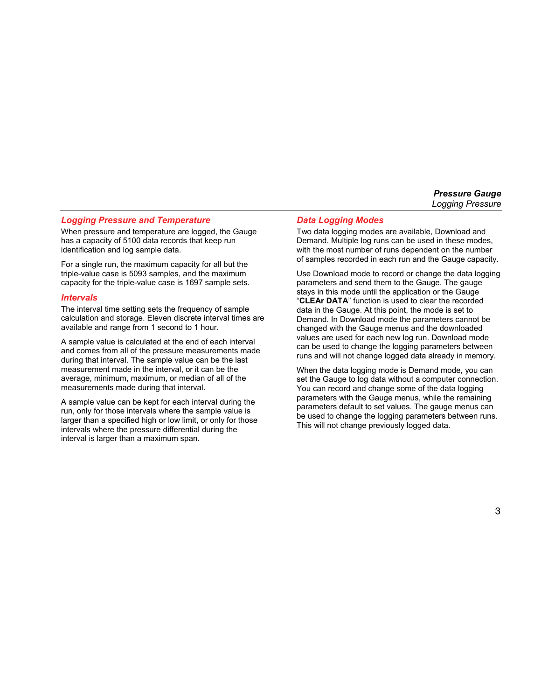#### <span id="page-12-0"></span>*Logging Pressure and Temperature*

When pressure and temperature are logged, the Gauge has a capacity of 5100 data records that keep run identification and log sample data.

For a single run, the maximum capacity for all but the triple-value case is 5093 samples, and the maximum capacity for the triple-value case is 1697 sample sets.

#### *Intervals*

The interval time setting sets the frequency of sample calculation and storage. Eleven discrete interval times are available and range from 1 second to 1 hour.

A sample value is calculated at the end of each interval and comes from all of the pressure measurements made during that interval. The sample value can be the last measurement made in the interval, or it can be the average, minimum, maximum, or median of all of the measurements made during that interval.

A sample value can be kept for each interval during the run, only for those intervals where the sample value is larger than a specified high or low limit, or only for those intervals where the pressure differential during the interval is larger than a maximum span.

## *Data Logging Modes*

Two data logging modes are available, Download and Demand. Multiple log runs can be used in these modes, with the most number of runs dependent on the number of samples recorded in each run and the Gauge capacity.

Use Download mode to record or change the data logging parameters and send them to the Gauge. The gauge stays in this mode until the application or the Gauge "**CLEAr DATA**" function is used to clear the recorded data in the Gauge. At this point, the mode is set to Demand. In Download mode the parameters cannot be changed with the Gauge menus and the downloaded values are used for each new log run. Download mode can be used to change the logging parameters between runs and will not change logged data already in memory.

When the data logging mode is Demand mode, you can set the Gauge to log data without a computer connection. You can record and change some of the data logging parameters with the Gauge menus, while the remaining parameters default to set values. The gauge menus can be used to change the logging parameters between runs. This will not change previously logged data.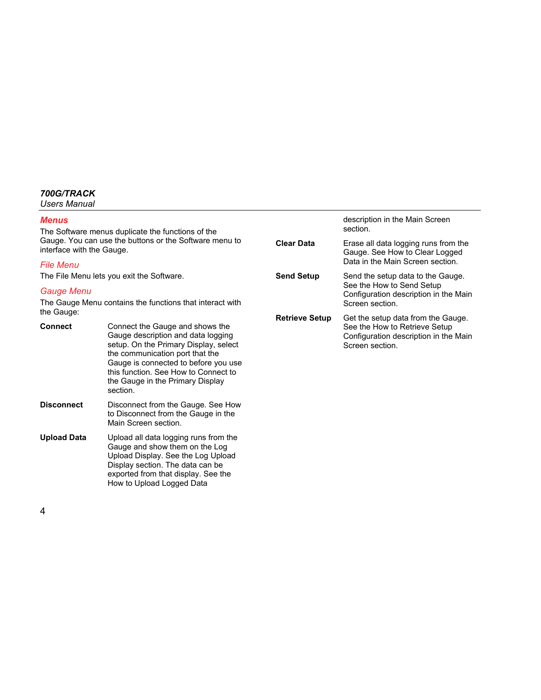## <span id="page-13-0"></span>*700G/TRACK*

*Users Manual* 

#### *Menus*

The Software menus duplicate the functions of the Gauge. You can use the buttons or the Software menu to interface with the Gauge.

#### *File Menu*

The File Menu lets you exit the Software.

## *Gauge Menu*

The Gauge Menu contains the functions that interact with the Gauge:

- **Connect** Connect the Gauge and shows the Gauge description and data logging setup. On the Primary Display, select the communication port that the Gauge is connected to before you use this function. See How to Connect to the Gauge in the Primary Display section.
- **Disconnect** Disconnect from the Gauge. See How to Disconnect from the Gauge in the Main Screen section.
- **Upload Data** Upload all data logging runs from the Gauge and show them on the Log Upload Display. See the Log Upload Display section. The data can be exported from that display. See the How to Upload Logged Data

description in the Main Screen section.

**Clear Data** Erase all data logging runs from the Gauge. See How to Clear Logged Data in the Main Screen section.

**Send Setup** Send the setup data to the Gauge. See the How to Send Setup Configuration description in the Main Screen section.

**Retrieve Setup** Get the setup data from the Gauge. See the How to Retrieve Setup Configuration description in the Main Screen section.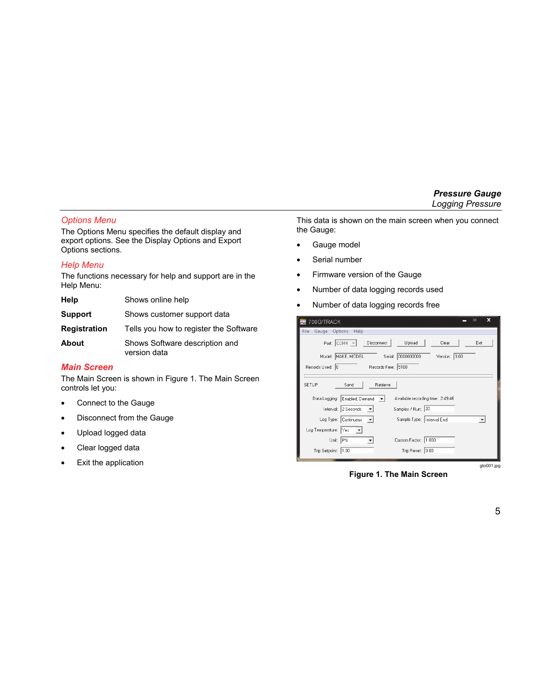#### <span id="page-14-0"></span>*Options Menu*

The Options Menu specifies the default display and export options. See the Display Options and Export Options sections.

#### *Help Menu*

The functions necessary for help and support are in the Help Menu:

| Help                | Shows online help                              |
|---------------------|------------------------------------------------|
| <b>Support</b>      | Shows customer support data                    |
| <b>Registration</b> | Tells you how to register the Software         |
| <b>About</b>        | Shows Software description and<br>version data |

## *Main Screen*

The Main Screen is shown in Figure 1. The Main Screen controls let you:

- Connect to the Gauge
- Disconnect from the Gauge
- Upload logged data
- Clear logged data
- Exit the application

This data is shown on the main screen when you connect the Gauge:

- Gauge model
- Serial number
- Firmware version of the Gauge
- Number of data logging records used
- Number of data logging records free

| 700G/TRACK                                       | $\mathbf x$<br>$\Box$                                     |
|--------------------------------------------------|-----------------------------------------------------------|
| Gauge Options<br>File<br>Help                    |                                                           |
| Port $\vert$ COM4 $\vert$                        | Disconnect<br>Upload<br>Clear<br>Exit                     |
| Model: MAKE, MODEL                               | Serial: 0000000000<br>Version: 3.00                       |
| Records Used: 0                                  | Records Free: 5100                                        |
| SETUP<br>Send                                    | Retrieve                                                  |
| Data Logging: Enabled, Demand                    | Available recording time: 2:49:46<br>$\blacktriangledown$ |
| Interval: 2 Seconds<br>$\vert \mathbf{v} \vert$  | Samples / Run: 20                                         |
| Log Type: Continuous                             | Sample Type:   Interval End<br>$\overline{\phantom{a}}$   |
| Log Temperature: Yes<br>$\vert \mathbf{v} \vert$ |                                                           |
| Unit: PSI<br>$\blacktriangledown$                | Custom Factor:  1.000                                     |
| Trip Setpoint: 1.00                              | Trip Reset: 0.00                                          |
|                                                  | gto001.jpg                                                |

**Figure 1. The Main Screen**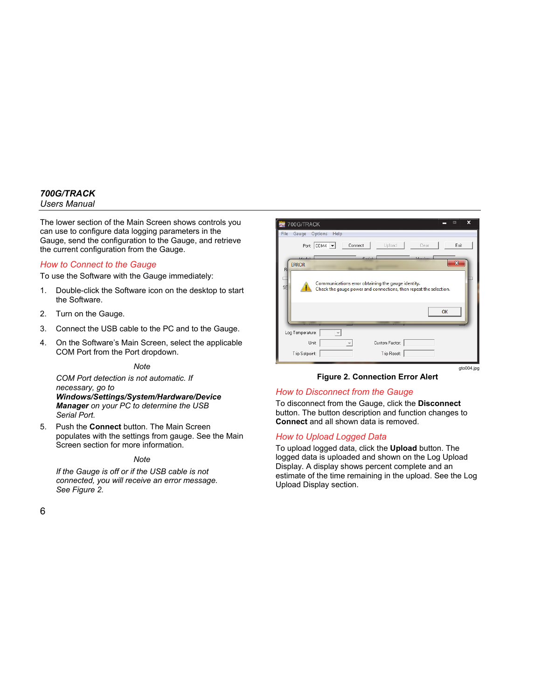## <span id="page-15-0"></span>*700G/TRACK Users Manual*

The lower section of the Main Screen shows controls you can use to configure data logging parameters in the Gauge, send the configuration to the Gauge, and retrieve the current configuration from the Gauge.

## *How to Connect to the Gauge*

To use the Software with the Gauge immediately:

- 1. Double-click the Software icon on the desktop to start the Software.
- 2. Turn on the Gauge.
- 3. Connect the USB cable to the PC and to the Gauge.
- 4. On the Software's Main Screen, select the applicable COM Port from the Port dropdown.

#### *Note*

*COM Port detection is not automatic. If necessary, go to Windows/Settings/System/Hardware/Device Manager on your PC to determine the USB Serial Port.* 

5. Push the **Connect** button. The Main Screen populates with the settings from gauge. See the Main Screen section for more information.

#### *Note*

*If the Gauge is off or if the USB cable is not connected, you will receive an error message. See Figure 2.* 



## **Figure 2. Connection Error Alert**

## *How to Disconnect from the Gauge*

To disconnect from the Gauge, click the **Disconnect** button. The button description and function changes to **Connect** and all shown data is removed.

## *How to Upload Logged Data*

To upload logged data, click the **Upload** button. The logged data is uploaded and shown on the Log Upload Display. A display shows percent complete and an estimate of the time remaining in the upload. See the Log Upload Display section.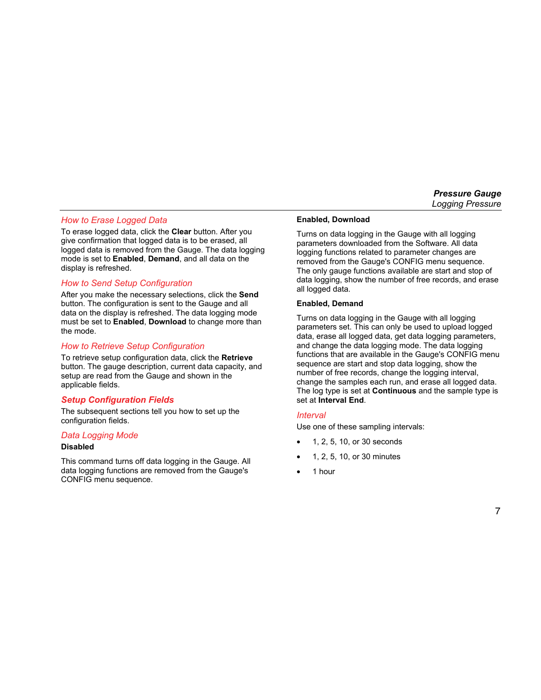## <span id="page-16-0"></span>*How to Erase Logged Data*

To erase logged data, click the **Clear** button. After you give confirmation that logged data is to be erased, all logged data is removed from the Gauge. The data logging mode is set to **Enabled**, **Demand**, and all data on the display is refreshed.

#### *How to Send Setup Configuration*

After you make the necessary selections, click the **Send** button. The configuration is sent to the Gauge and all data on the display is refreshed. The data logging mode must be set to **Enabled**, **Download** to change more than the mode.

#### *How to Retrieve Setup Configuration*

To retrieve setup configuration data, click the **Retrieve** button. The gauge description, current data capacity, and setup are read from the Gauge and shown in the applicable fields.

## *Setup Configuration Fields*

The subsequent sections tell you how to set up the configuration fields.

#### *Data Logging Mode*

#### **Disabled**

This command turns off data logging in the Gauge. All data logging functions are removed from the Gauge's CONFIG menu sequence.

#### **Enabled, Download**

Turns on data logging in the Gauge with all logging parameters downloaded from the Software. All data logging functions related to parameter changes are removed from the Gauge's CONFIG menu sequence. The only gauge functions available are start and stop of data logging, show the number of free records, and erase all logged data.

#### **Enabled, Demand**

Turns on data logging in the Gauge with all logging parameters set. This can only be used to upload logged data, erase all logged data, get data logging parameters, and change the data logging mode. The data logging functions that are available in the Gauge's CONFIG menu sequence are start and stop data logging, show the number of free records, change the logging interval, change the samples each run, and erase all logged data. The log type is set at **Continuous** and the sample type is set at **Interval End**.

#### *Interval*

Use one of these sampling intervals:

- 1, 2, 5, 10, or 30 seconds
- 1, 2, 5, 10, or 30 minutes
- 1 hour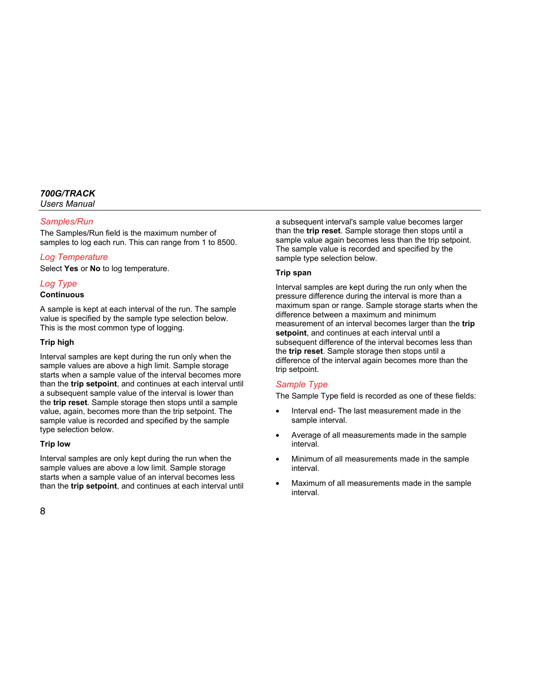## <span id="page-17-0"></span>*700G/TRACK Users Manual*

## *Samples/Run*

The Samples/Run field is the maximum number of samples to log each run. This can range from 1 to 8500.

## *Log Temperature*

Select **Yes** or **No** to log temperature.

# *Log Type*

## **Continuous**

A sample is kept at each interval of the run. The sample value is specified by the sample type selection below. This is the most common type of logging.

## **Trip high**

Interval samples are kept during the run only when the sample values are above a high limit. Sample storage starts when a sample value of the interval becomes more than the **trip setpoint**, and continues at each interval until a subsequent sample value of the interval is lower than the **trip reset**. Sample storage then stops until a sample value, again, becomes more than the trip setpoint. The sample value is recorded and specified by the sample type selection below.

## **Trip low**

Interval samples are only kept during the run when the sample values are above a low limit. Sample storage starts when a sample value of an interval becomes less than the **trip setpoint**, and continues at each interval until a subsequent interval's sample value becomes larger than the **trip reset**. Sample storage then stops until a sample value again becomes less than the trip setpoint. The sample value is recorded and specified by the sample type selection below.

## **Trip span**

Interval samples are kept during the run only when the pressure difference during the interval is more than a maximum span or range. Sample storage starts when the difference between a maximum and minimum measurement of an interval becomes larger than the **trip setpoint**, and continues at each interval until a subsequent difference of the interval becomes less than the **trip reset**. Sample storage then stops until a difference of the interval again becomes more than the trip setpoint.

## *Sample Type*

The Sample Type field is recorded as one of these fields:

- Interval end- The last measurement made in the sample interval.
- Average of all measurements made in the sample interval.
- Minimum of all measurements made in the sample interval.
- Maximum of all measurements made in the sample interval.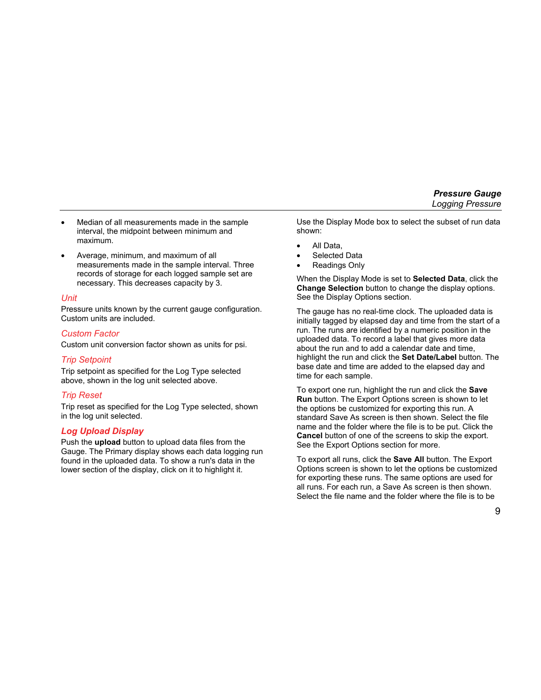- <span id="page-18-0"></span>• Median of all measurements made in the sample interval, the midpoint between minimum and maximum.
- Average, minimum, and maximum of all measurements made in the sample interval. Three records of storage for each logged sample set are necessary. This decreases capacity by 3.

#### *Unit*

Pressure units known by the current gauge configuration. Custom units are included.

#### *Custom Factor*

Custom unit conversion factor shown as units for psi.

## *Trip Setpoint*

Trip setpoint as specified for the Log Type selected above, shown in the log unit selected above.

## *Trip Reset*

Trip reset as specified for the Log Type selected, shown in the log unit selected.

## *Log Upload Display*

Push the **upload** button to upload data files from the Gauge. The Primary display shows each data logging run found in the uploaded data. To show a run's data in the lower section of the display, click on it to highlight it.

Use the Display Mode box to select the subset of run data shown:

- All Data,
- Selected Data
- Readings Only

When the Display Mode is set to **Selected Data**, click the **Change Selection** button to change the display options. See the Display Options section.

The gauge has no real-time clock. The uploaded data is initially tagged by elapsed day and time from the start of a run. The runs are identified by a numeric position in the uploaded data. To record a label that gives more data about the run and to add a calendar date and time, highlight the run and click the **Set Date/Label** button. The base date and time are added to the elapsed day and time for each sample.

To export one run, highlight the run and click the **Save Run** button. The Export Options screen is shown to let the options be customized for exporting this run. A standard Save As screen is then shown. Select the file name and the folder where the file is to be put. Click the **Cancel** button of one of the screens to skip the export. See the Export Options section for more.

To export all runs, click the **Save All** button. The Export Options screen is shown to let the options be customized for exporting these runs. The same options are used for all runs. For each run, a Save As screen is then shown. Select the file name and the folder where the file is to be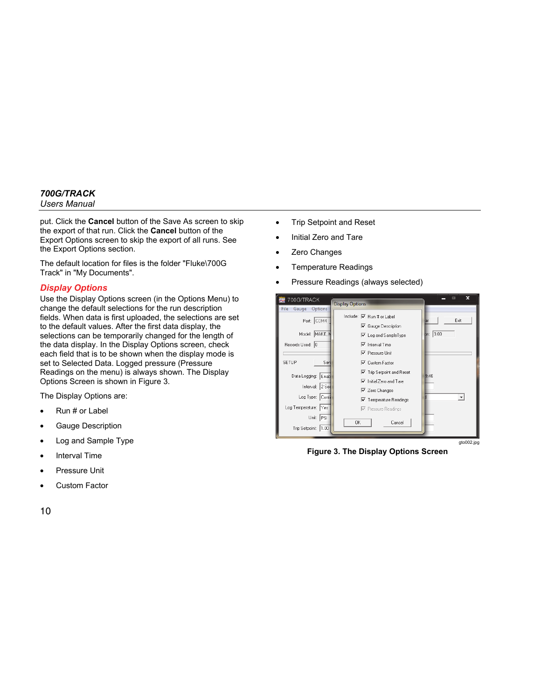<span id="page-19-0"></span>put. Click the **Cancel** button of the Save As screen to skip the export of that run. Click the **Cancel** button of the Export Options screen to skip the export of all runs. See the Export Options section.

The default location for files is the folder "Fluke\700G Track" in "My Documents".

## *Display Options*

Use the Display Options screen (in the Options Menu) to change the default selections for the run description fields. When data is first uploaded, the selections are set to the default values. After the first data display, the selections can be temporarily changed for the length of the data display. In the Display Options screen, check each field that is to be shown when the display mode is set to Selected Data. Logged pressure (Pressure Readings on the menu) is always shown. The Display Options Screen is shown in Figure 3.

The Display Options are:

- Run # or Label
- Gauge Description
- Log and Sample Type
- Interval Time
- Pressure Unit
- Custom Factor
- Trip Setpoint and Reset
- Initial Zero and Tare
- Zero Changes
- Temperature Readings
- Pressure Readings (always selected)

| 700G/TRACK<br><b>File</b><br>Options<br>Gauge | $\Box$<br><b>Display Options</b>                                                                     | x          |
|-----------------------------------------------|------------------------------------------------------------------------------------------------------|------------|
| Port: COM4                                    | Include: $\nabla$ Run # or Label<br>Exit<br>a                                                        |            |
| Model: MAKE, N                                | <b>▽</b> Gauge Description<br>on: 3.00<br>Ⅳ Log and SampleType                                       |            |
| Records Used: 0                               | $\overline{\mathbf{v}}$ Interval Time<br>$\overline{\mathbf{v}}$ Pressure Unit                       |            |
| SETUP<br>Sen                                  | $\nabla$ Custom Factor                                                                               |            |
| Data Logging:<br>Enabl<br>Interval: 2 Sed     | <b>▽</b> Trip Setpoint and Reset<br>9:46<br>□ Initial Zero and Tare                                  |            |
| Log Type:<br>Conti                            | $\overline{\triangledown}$ Zero Changes<br>$\overline{\phantom{a}}$<br><b>▽</b> Temperature Readings |            |
| Log Temperature:<br> Yes <br>Unit:<br> PS     | Ⅳ Pressure Readings                                                                                  |            |
| 1.00<br>Trip Setpoint:                        | 0K<br>Cancel                                                                                         |            |
|                                               |                                                                                                      | gto002.jpg |

**Figure 3. The Display Options Screen**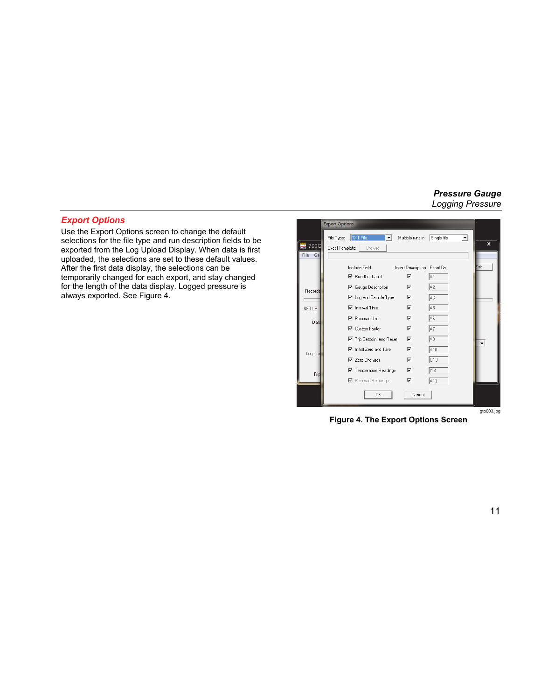## *Pressure Gauge Logging Pressure*

## <span id="page-20-0"></span>*Export Options*

Use the Export Options screen to change the default selections for the file type and run description fields to be exported from the Log Upload Display. When data is first uploaded, the selections are set to these default values. After the first data display, the selections can be temporarily changed for each export, and stay changed for the length of the data display. Logged pressure is always exported. See Figure 4.



**Figure 4. The Export Options Screen**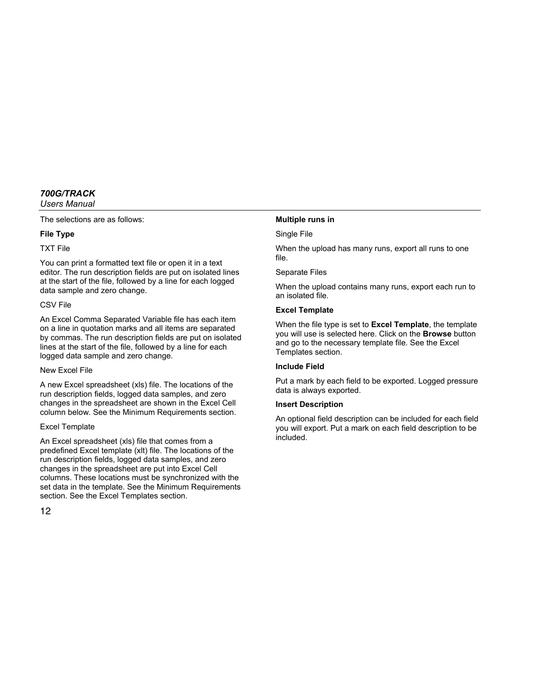The selections are as follows:

## **File Type**

## TXT File

You can print a formatted text file or open it in a text editor. The run description fields are put on isolated lines at the start of the file, followed by a line for each logged data sample and zero change.

## CSV File

An Excel Comma Separated Variable file has each item on a line in quotation marks and all items are separated by commas. The run description fields are put on isolated lines at the start of the file, followed by a line for each logged data sample and zero change.

## New Excel File

A new Excel spreadsheet (xls) file. The locations of the run description fields, logged data samples, and zero changes in the spreadsheet are shown in the Excel Cell column below. See the Minimum Requirements section.

## Excel Template

An Excel spreadsheet (xls) file that comes from a predefined Excel template (xlt) file. The locations of the run description fields, logged data samples, and zero changes in the spreadsheet are put into Excel Cell columns. These locations must be synchronized with the set data in the template. See the Minimum Requirements section. See the Excel Templates section.

## **Multiple runs in**

#### Single File

When the upload has many runs, export all runs to one file.

#### Separate Files

When the upload contains many runs, export each run to an isolated file.

## **Excel Template**

When the file type is set to **Excel Template**, the template you will use is selected here. Click on the **Browse** button and go to the necessary template file. See the Excel Templates section.

## **Include Field**

Put a mark by each field to be exported. Logged pressure data is always exported.

#### **Insert Description**

An optional field description can be included for each field you will export. Put a mark on each field description to be included.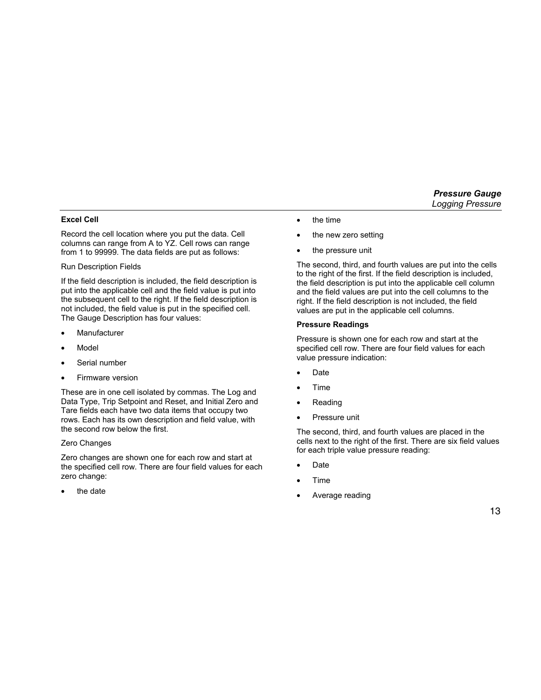#### **Excel Cell**

Record the cell location where you put the data. Cell columns can range from A to YZ. Cell rows can range from 1 to 99999. The data fields are put as follows:

#### Run Description Fields

If the field description is included, the field description is put into the applicable cell and the field value is put into the subsequent cell to the right. If the field description is not included, the field value is put in the specified cell. The Gauge Description has four values:

- **Manufacturer**
- Model
- Serial number
- Firmware version

These are in one cell isolated by commas. The Log and Data Type, Trip Setpoint and Reset, and Initial Zero and Tare fields each have two data items that occupy two rows. Each has its own description and field value, with the second row below the first.

#### Zero Changes

Zero changes are shown one for each row and start at the specified cell row. There are four field values for each zero change:

the date

- the time
- the new zero setting
- the pressure unit

The second, third, and fourth values are put into the cells to the right of the first. If the field description is included, the field description is put into the applicable cell column and the field values are put into the cell columns to the right. If the field description is not included, the field values are put in the applicable cell columns.

#### **Pressure Readings**

Pressure is shown one for each row and start at the specified cell row. There are four field values for each value pressure indication:

- Date
- Time
- Reading
- Pressure unit

The second, third, and fourth values are placed in the cells next to the right of the first. There are six field values for each triple value pressure reading:

- Date
- Time
- Average reading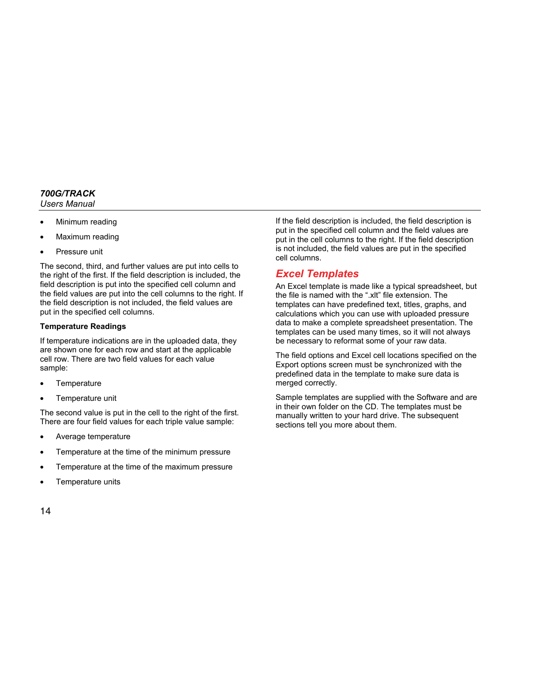## <span id="page-23-0"></span>*700G/TRACK Users Manual*

- Minimum reading
- Maximum reading
- Pressure unit

The second, third, and further values are put into cells to the right of the first. If the field description is included, the field description is put into the specified cell column and the field values are put into the cell columns to the right. If the field description is not included, the field values are put in the specified cell columns.

#### **Temperature Readings**

If temperature indications are in the uploaded data, they are shown one for each row and start at the applicable cell row. There are two field values for each value sample:

- **Temperature**
- Temperature unit

The second value is put in the cell to the right of the first. There are four field values for each triple value sample:

- Average temperature
- Temperature at the time of the minimum pressure
- Temperature at the time of the maximum pressure
- Temperature units

If the field description is included, the field description is put in the specified cell column and the field values are put in the cell columns to the right. If the field description is not included, the field values are put in the specified cell columns.

# *Excel Templates*

An Excel template is made like a typical spreadsheet, but the file is named with the ".xlt" file extension. The templates can have predefined text, titles, graphs, and calculations which you can use with uploaded pressure data to make a complete spreadsheet presentation. The templates can be used many times, so it will not always be necessary to reformat some of your raw data.

The field options and Excel cell locations specified on the Export options screen must be synchronized with the predefined data in the template to make sure data is merged correctly.

Sample templates are supplied with the Software and are in their own folder on the CD. The templates must be manually written to your hard drive. The subsequent sections tell you more about them.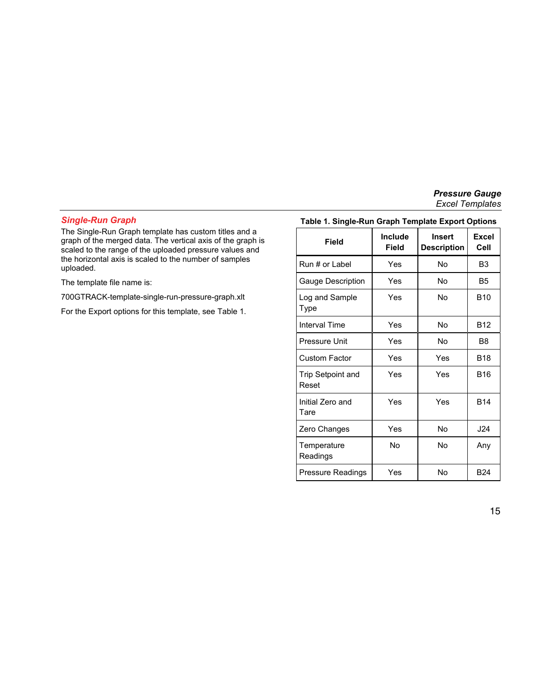## <span id="page-24-0"></span>*Single-Run Graph*

The Single-Run Graph template has custom titles and a graph of the merged data. The vertical axis of the graph is scaled to the range of the uploaded pressure values and the horizontal axis is scaled to the number of samples uploaded.

The template file name is:

700GTRACK-template-single-run-pressure-graph.xlt

For the Export options for this template, see Table 1.

## **Table 1. Single-Run Graph Template Export Options**

| Field                      | Include<br>Field | <b>Insert</b><br><b>Description</b> | Excel<br>Cell  |
|----------------------------|------------------|-------------------------------------|----------------|
| Run # or Label             | Yes              | Nο                                  | B <sub>3</sub> |
| Gauge Description          | Yes              | No                                  | <b>B5</b>      |
| Log and Sample<br>Type     | Yes              | Nο                                  | <b>B10</b>     |
| Interval Time              | Yes              | N٥                                  | <b>B12</b>     |
| Pressure Unit              | Yes              | Nο                                  | B8             |
| <b>Custom Factor</b>       | Yes              | Yes                                 | <b>B18</b>     |
| Trip Setpoint and<br>Reset | Yes              | Yes                                 | <b>B16</b>     |
| Initial Zero and<br>Tare   | Yes              | Yes                                 | <b>B14</b>     |
| Zero Changes               | Yes              | Nο                                  | <b>J24</b>     |
| Temperature<br>Readings    | No               | No                                  | Any            |
| <b>Pressure Readings</b>   | Yes              | N٥                                  | <b>B24</b>     |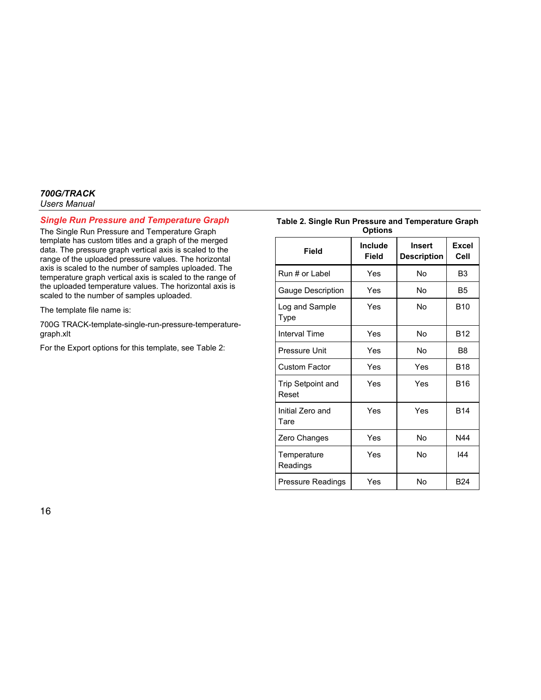## <span id="page-25-0"></span>*Single Run Pressure and Temperature Graph*

The Single Run Pressure and Temperature Graph template has custom titles and a graph of the merged data. The pressure graph vertical axis is scaled to the range of the uploaded pressure values. The horizontal axis is scaled to the number of samples uploaded. The temperature graph vertical axis is scaled to the range of the uploaded temperature values. The horizontal axis is scaled to the number of samples uploaded.

The template file name is:

700G TRACK-template-single-run-pressure-temperaturegraph.xlt

For the Export options for this template, see Table 2:

| Table 2. Single Run Pressure and Temperature Graph<br><b>Options</b> |                         |                                     |                      |
|----------------------------------------------------------------------|-------------------------|-------------------------------------|----------------------|
| Field                                                                | Include<br><b>Field</b> | <b>Insert</b><br><b>Description</b> | <b>Excel</b><br>Cell |
| Run # or Label                                                       | Yes                     | No                                  | B <sub>3</sub>       |
| Gauge Description                                                    | Yes                     | No                                  | <b>B5</b>            |
| Log and Sample<br>Type                                               | Yes                     | No                                  | <b>B10</b>           |
| Interval Time                                                        | Yes                     | No                                  | <b>B12</b>           |
| <b>Pressure Unit</b>                                                 | Yes                     | No                                  | B8                   |
| <b>Custom Factor</b>                                                 | Yes                     | Yes                                 | B18                  |
| <b>Trip Setpoint and</b><br>Reset                                    | Yes                     | Yes                                 | <b>B16</b>           |
| Initial Zero and<br>Tare                                             | Yes                     | Yes                                 | <b>B14</b>           |
| Zero Changes                                                         | Yes                     | No                                  | N44                  |
| Temperature<br>Readings                                              | Yes                     | No                                  | 144                  |
| <b>Pressure Readings</b>                                             | Yes                     | No                                  | <b>B24</b>           |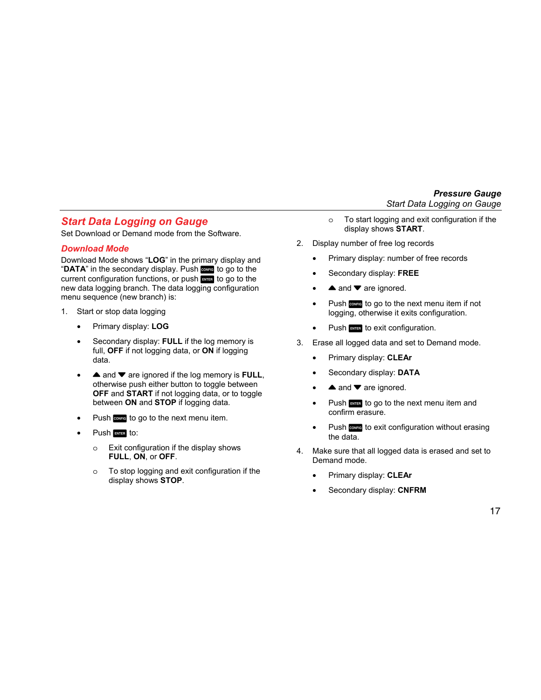# <span id="page-26-0"></span>*Start Data Logging on Gauge*

Set Download or Demand mode from the Software.

## *Download Mode*

Download Mode shows "**LOG**" in the primary display and "DATA" in the secondary display. Push **cound** to go to the current configuration functions, or push  $\overline{\phantom{a}}$  to go to the new data logging branch. The data logging configuration menu sequence (new branch) is:

- 1. Start or stop data logging
	- Primary display: **LOG**
	- Secondary display: **FULL** if the log memory is full, **OFF** if not logging data, or **ON** if logging data.
	- $\triangle$  and  $\nabla$  are ignored if the log memory is **FULL**, otherwise push either button to toggle between **OFF** and **START** if not logging data, or to toggle between **ON** and **STOP** if logging data.
	- Push **cound** to go to the next menu item.
	- Push **ENTER** to:
		- o Exit configuration if the display shows **FULL**, **ON**, or **OFF**.
		- o To stop logging and exit configuration if the display shows **STOP**.
- o To start logging and exit configuration if the display shows **START**.
- 2. Display number of free log records
	- Primary display: number of free records
	- Secondary display: **FREE**
	- $\bullet$  **4** and  $\blacktriangledown$  are ignored.
	- Push  $\frac{1}{2}$  Push  $\frac{1}{2}$  to go to the next menu item if not logging, otherwise it exits configuration.
	- $\bullet$  Push  $\bullet$  to exit configuration.
- 3. Erase all logged data and set to Demand mode.
	- Primary display: **CLEAr**
	- Secondary display: **DATA**
	- $\triangle$  and  $\nabla$  are ignored.
	- Push  $\frac{1}{2}$  Push  $\frac{1}{2}$  to go to the next menu item and confirm erasure.
	- Push **cound** to exit configuration without erasing the data.
- 4. Make sure that all logged data is erased and set to Demand mode.
	- Primary display: **CLEAr**
	- Secondary display: **CNFRM**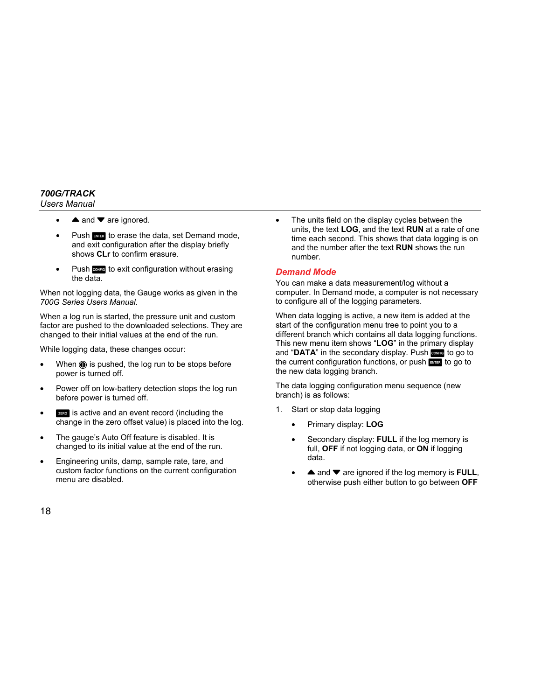## <span id="page-27-0"></span>*700G/TRACK Users Manual*

- $\bullet$   $\blacktriangle$  and  $\nabla$  are ignored.
- Push **EVIED** to erase the data, set Demand mode, and exit configuration after the display briefly shows **CLr** to confirm erasure.
- Push **CONFIG** to exit configuration without erasing the data.

When not logging data, the Gauge works as given in the *700G Series Users Manual*.

When a log run is started, the pressure unit and custom factor are pushed to the downloaded selections. They are changed to their initial values at the end of the run.

While logging data, these changes occur:

- When  $\circledR$  is pushed, the log run to be stops before power is turned off.
- Power off on low-battery detection stops the log run before power is turned off.
- **Example 15 active and an event record (including the** change in the zero offset value) is placed into the log.
- The gauge's Auto Off feature is disabled. It is changed to its initial value at the end of the run.
- Engineering units, damp, sample rate, tare, and custom factor functions on the current configuration menu are disabled.

• The units field on the display cycles between the units, the text **LOG**, and the text **RUN** at a rate of one time each second. This shows that data logging is on and the number after the text **RUN** shows the run number.

#### *Demand Mode*

You can make a data measurement/log without a computer. In Demand mode, a computer is not necessary to configure all of the logging parameters.

When data logging is active, a new item is added at the start of the configuration menu tree to point you to a different branch which contains all data logging functions. This new menu item shows "**LOG**" in the primary display and "DATA" in the secondary display. Push **CONFIG** to go to the current configuration functions, or push  $\frac{1}{\sqrt{2}}$  to go to the new data logging branch.

The data logging configuration menu sequence (new branch) is as follows:

- 1. Start or stop data logging
	- Primary display: **LOG**
	- Secondary display: **FULL** if the log memory is full, **OFF** if not logging data, or **ON** if logging data.
	- $\bullet$   $\blacktriangle$  and  $\nabla$  are ignored if the log memory is **FULL**, otherwise push either button to go between **OFF**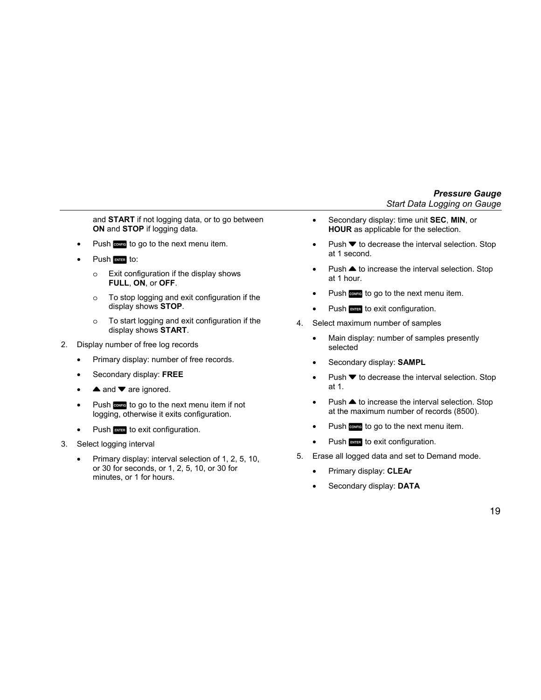and **START** if not logging data, or to go between **ON** and **STOP** if logging data.

- Push **CONFIG** to go to the next menu item.
- Push **ENTER** to:
	- o Exit configuration if the display shows **FULL**, **ON**, or **OFF**.
	- o To stop logging and exit configuration if the display shows **STOP**.
	- o To start logging and exit configuration if the display shows **START**.
- 2. Display number of free log records
	- Primary display: number of free records.
	- Secondary display: **FREE**
	- $\triangle$  and  $\nabla$  are ignored.
	- Push **CONFIG** to go to the next menu item if not logging, otherwise it exits configuration.
	- Push **EXIED** to exit configuration.
- 3. Select logging interval
	- Primary display: interval selection of 1, 2, 5, 10, or 30 for seconds, or 1, 2, 5, 10, or 30 for minutes, or 1 for hours.
- Secondary display: time unit **SEC**, **MIN**, or **HOUR** as applicable for the selection.
- Push  $\blacktriangledown$  to decrease the interval selection. Stop at 1 second.
- Push  $\triangle$  to increase the interval selection. Stop at 1 hour.
- Push  $\frac{1}{2}$  Push  $\frac{1}{2}$  to go to the next menu item.
- $\bullet$  Push  $\bullet$  to exit configuration.
- 4. Select maximum number of samples
	- Main display: number of samples presently selected
	- Secondary display: **SAMPL**
	- Push  $\blacktriangledown$  to decrease the interval selection. Stop at 1.
	- Push  $\triangle$  to increase the interval selection. Stop at the maximum number of records (8500).
	- Push **Found** to go to the next menu item.
	- $\bullet$  Push  $\bullet$  to exit configuration.
- 5. Erase all logged data and set to Demand mode.
	- Primary display: **CLEAr**
	- Secondary display: **DATA**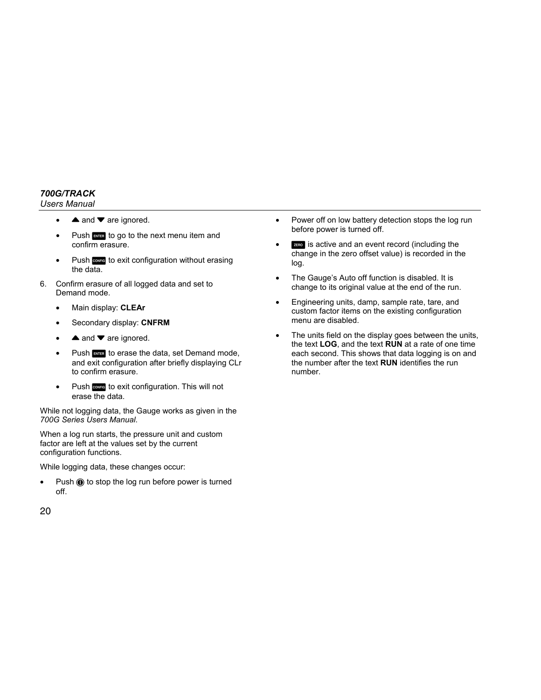#### *700G/TRACK Users Manual*

- $\bullet$   $\blacktriangle$  and  $\nabla$  are ignored.
- Push **EVIER** to go to the next menu item and confirm erasure.
- Push **FONEIG** to exit configuration without erasing the data.
- 6. Confirm erasure of all logged data and set to Demand mode.
	- Main display: **CLEAr**
	- Secondary display: **CNFRM**
	- $\triangle$  and  $\nabla$  are ignored.
	- Push **EXTED** to erase the data, set Demand mode, and exit configuration after briefly displaying CLr to confirm erasure.
	- Push **CONFIGURE:** to exit configuration. This will not erase the data.

While not logging data, the Gauge works as given in the *700G Series Users Manual*.

When a log run starts, the pressure unit and custom factor are left at the values set by the current configuration functions.

While logging data, these changes occur:

Push  $<sup>•</sup>$  to stop the log run before power is turned</sup> off.

- Power off on low battery detection stops the log run before power is turned off.
- **IzERO** is active and an event record (including the change in the zero offset value) is recorded in the log.
- The Gauge's Auto off function is disabled. It is change to its original value at the end of the run.
- Engineering units, damp, sample rate, tare, and custom factor items on the existing configuration menu are disabled.
- The units field on the display goes between the units, the text **LOG**, and the text **RUN** at a rate of one time each second. This shows that data logging is on and the number after the text **RUN** identifies the run number.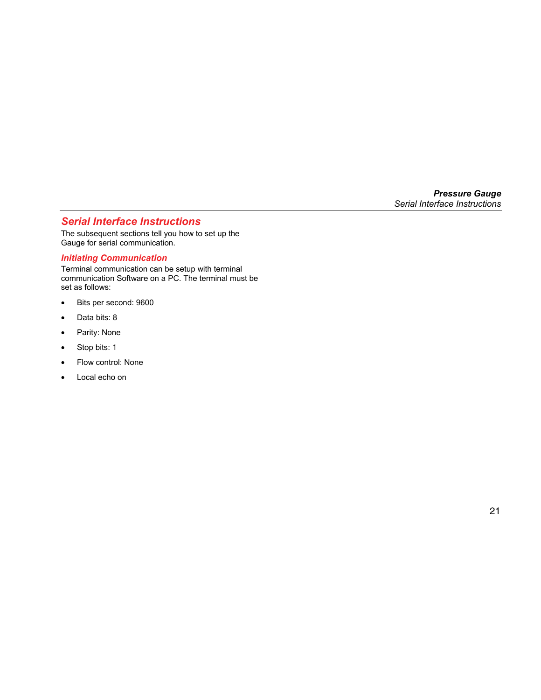## <span id="page-30-0"></span>*Serial Interface Instructions*

The subsequent sections tell you how to set up the Gauge for serial communication.

#### *Initiating Communication*

Terminal communication can be setup with terminal communication Software on a PC. The terminal must be set as follows:

- Bits per second: 9600
- Data bits: 8
- Parity: None
- Stop bits: 1
- Flow control: None
- Local echo on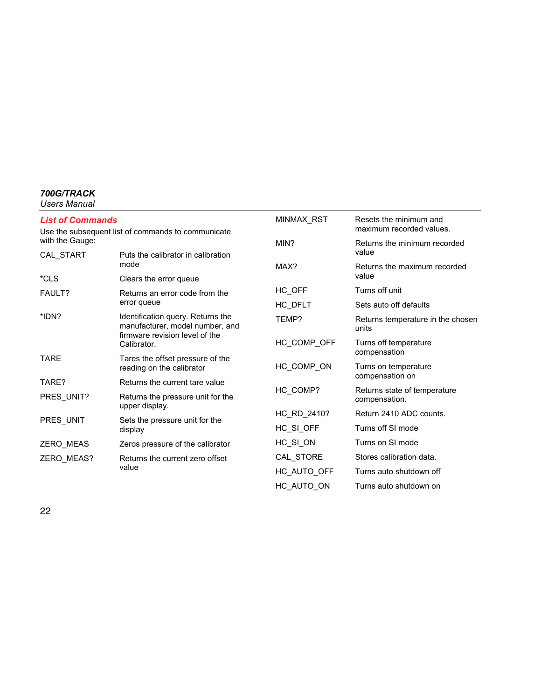# <span id="page-31-0"></span>*700G/TRACK*

*Users Manual* 

| <b>List of Commands</b><br>Use the subsequent list of commands to communicate<br>with the Gauge:                |                                                               | <b>MINMAX RST</b> | Resets the minimum and<br>maximum recorded values. |
|-----------------------------------------------------------------------------------------------------------------|---------------------------------------------------------------|-------------------|----------------------------------------------------|
|                                                                                                                 |                                                               | MIN?              | Returns the minimum recorded                       |
| CAL_START                                                                                                       | Puts the calibrator in calibration                            |                   | value                                              |
|                                                                                                                 | mode                                                          | MAX?              | Returns the maximum recorded<br>value              |
| <i><b>*CLS</b></i>                                                                                              | Clears the error queue                                        |                   |                                                    |
| FAULT?                                                                                                          | Returns an error code from the<br>error queue                 | HC_OFF            | Turns off unit                                     |
|                                                                                                                 |                                                               | HC_DFLT           | Sets auto off defaults                             |
| *IDN?<br>Identification query. Returns the<br>manufacturer, model number, and<br>firmware revision level of the |                                                               | TEMP?             | Returns temperature in the chosen<br>units         |
|                                                                                                                 | Calibrator.                                                   | HC_COMP_OFF       | Turns off temperature<br>compensation              |
| <b>TARE</b>                                                                                                     | Tares the offset pressure of the<br>reading on the calibrator | HC_COMP_ON        | Turns on temperature                               |
| TARE?                                                                                                           | Returns the current tare value                                |                   | compensation on                                    |
| PRES_UNIT?                                                                                                      | Returns the pressure unit for the<br>upper display.           | HC_COMP?          | Returns state of temperature<br>compensation.      |
|                                                                                                                 |                                                               | HC_RD_2410?       | Return 2410 ADC counts.                            |
| PRES_UNIT<br>Sets the pressure unit for the<br>display                                                          |                                                               | HC_SI_OFF         | Turns off SI mode                                  |
| ZERO_MEAS                                                                                                       | Zeros pressure of the calibrator                              | HC_SI_ON          | Turns on SI mode                                   |
| ZERO_MEAS?                                                                                                      | Returns the current zero offset<br>value                      | CAL_STORE         | Stores calibration data.                           |
|                                                                                                                 |                                                               | HC_AUTO_OFF       | Turns auto shutdown off                            |
|                                                                                                                 |                                                               | HC AUTO ON        | Turns auto shutdown on                             |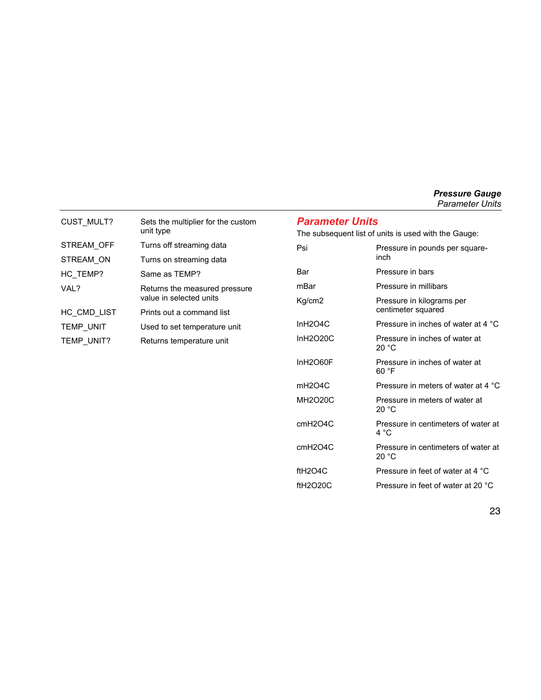<span id="page-32-0"></span>

| CUST_MULT?       | Sets the multiplier for the custom<br>unit type          |
|------------------|----------------------------------------------------------|
| STREAM OFF       | Turns off streaming data                                 |
| STREAM ON        | Turns on streaming data                                  |
| HC TEMP?         | Same as TEMP?                                            |
| VAL?             | Returns the measured pressure<br>value in selected units |
| HC CMD LIST      | Prints out a command list                                |
| <b>TEMP UNIT</b> | Used to set temperature unit                             |
| TEMP UNIT?       | Returns temperature unit                                 |

# *Parameter Units*

The subsequent list of units is used with the Gauge:

| Psi      | Pressure in pounds per square-<br>inch          |
|----------|-------------------------------------------------|
| Bar      | Pressure in bars                                |
| mBar     | Pressure in millibars                           |
| Kg/cm2   | Pressure in kilograms per<br>centimeter squared |
| InH2O4C  | Pressure in inches of water at 4 °C             |
| InH2O20C | Pressure in inches of water at<br>20 °C         |
| InH2O60F | Pressure in inches of water at<br>60 °F         |
| mH2O4C   | Pressure in meters of water at 4 °C             |
| MH2O20C  | Pressure in meters of water at<br>20 °C         |
| cmH2O4C  | Pressure in centimeters of water at<br>4 °C     |
| cmH2O4C  | Pressure in centimeters of water at<br>20 °C    |
| ftH2O4C  | Pressure in feet of water at 4 °C               |
| ftH2O20C | Pressure in feet of water at 20 °C              |